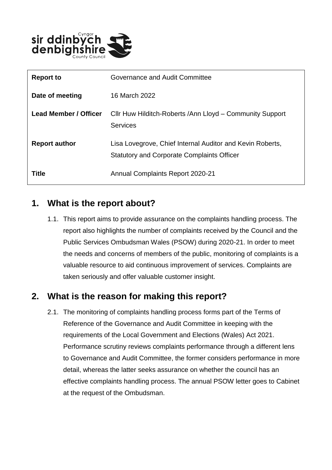

| <b>Report to</b>      | Governance and Audit Committee                                                                                 |
|-----------------------|----------------------------------------------------------------------------------------------------------------|
| Date of meeting       | 16 March 2022                                                                                                  |
| Lead Member / Officer | Cllr Huw Hilditch-Roberts / Ann Lloyd – Community Support<br><b>Services</b>                                   |
| <b>Report author</b>  | Lisa Lovegrove, Chief Internal Auditor and Kevin Roberts,<br><b>Statutory and Corporate Complaints Officer</b> |
| Title                 | <b>Annual Complaints Report 2020-21</b>                                                                        |

#### **1. What is the report about?**

1.1. This report aims to provide assurance on the complaints handling process. The report also highlights the number of complaints received by the Council and the Public Services Ombudsman Wales (PSOW) during 2020-21. In order to meet the needs and concerns of members of the public, monitoring of complaints is a valuable resource to aid continuous improvement of services. Complaints are taken seriously and offer valuable customer insight.

### **2. What is the reason for making this report?**

2.1. The monitoring of complaints handling process forms part of the Terms of Reference of the Governance and Audit Committee in keeping with the requirements of the Local Government and Elections (Wales) Act 2021. Performance scrutiny reviews complaints performance through a different lens to Governance and Audit Committee, the former considers performance in more detail, whereas the latter seeks assurance on whether the council has an effective complaints handling process. The annual PSOW letter goes to Cabinet at the request of the Ombudsman.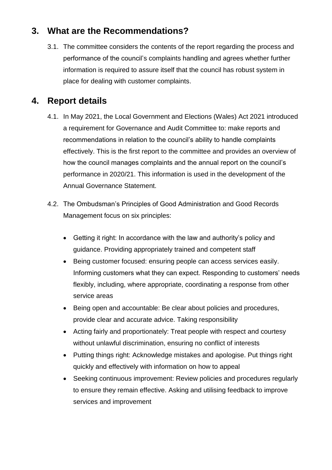# **3. What are the Recommendations?**

3.1. The committee considers the contents of the report regarding the process and performance of the council's complaints handling and agrees whether further information is required to assure itself that the council has robust system in place for dealing with customer complaints.

# **4. Report details**

- 4.1. In May 2021, the Local Government and Elections (Wales) Act 2021 introduced a requirement for Governance and Audit Committee to: make reports and recommendations in relation to the council's ability to handle complaints effectively. This is the first report to the committee and provides an overview of how the council manages complaints and the annual report on the council's performance in 2020/21. This information is used in the development of the Annual Governance Statement.
- 4.2. The Ombudsman's Principles of Good Administration and Good Records Management focus on six principles:
	- Getting it right: In accordance with the law and authority's policy and guidance. Providing appropriately trained and competent staff
	- Being customer focused: ensuring people can access services easily. Informing customers what they can expect. Responding to customers' needs flexibly, including, where appropriate, coordinating a response from other service areas
	- Being open and accountable: Be clear about policies and procedures, provide clear and accurate advice. Taking responsibility
	- Acting fairly and proportionately: Treat people with respect and courtesy without unlawful discrimination, ensuring no conflict of interests
	- Putting things right: Acknowledge mistakes and apologise. Put things right quickly and effectively with information on how to appeal
	- Seeking continuous improvement: Review policies and procedures regularly to ensure they remain effective. Asking and utilising feedback to improve services and improvement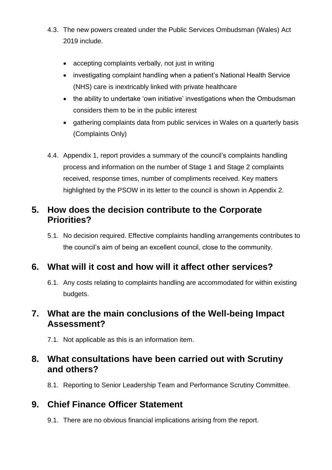- 4.3. The new powers created under the Public Services Ombudsman (Wales) Act 2019 include.
	- accepting complaints verbally, not just in writing
	- investigating complaint handling when a patient's National Health Service (NHS) care is inextricably linked with private healthcare
	- the ability to undertake 'own initiative' investigations when the Ombudsman considers them to be in the public interest
	- gathering complaints data from public services in Wales on a quarterly basis (Complaints Only)
- 4.4. Appendix 1, report provides a summary of the council's complaints handling process and information on the number of Stage 1 and Stage 2 complaints received, response times, number of compliments received. Key matters highlighted by the PSOW in its letter to the council is shown in Appendix 2.

#### **5. How does the decision contribute to the Corporate Priorities?**

5.1. No decision required. Effective complaints handling arrangements contributes to the council's aim of being an excellent council, close to the community.

### **6. What will it cost and how will it affect other services?**

6.1. Any costs relating to complaints handling are accommodated for within existing budgets.

### **7. What are the main conclusions of the Well-being Impact Assessment?**

7.1. Not applicable as this is an information item.

### **8. What consultations have been carried out with Scrutiny and others?**

8.1. Reporting to Senior Leadership Team and Performance Scrutiny Committee.

### **9. Chief Finance Officer Statement**

9.1. There are no obvious financial implications arising from the report.